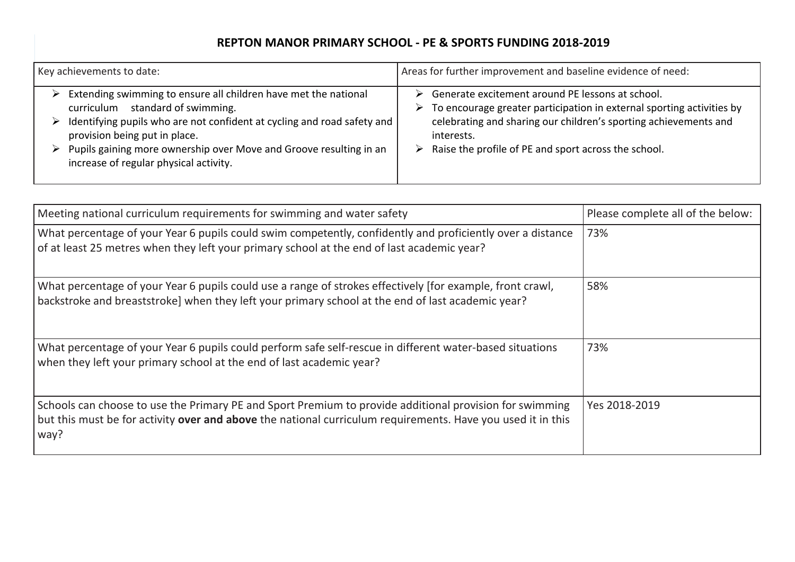## **REPTON MANOR PRIMARY SCHOOL - PE & SPORTS FUNDING 2018-2019**

| Key achievements to date:                                               | Areas for further improvement and baseline evidence of need:          |
|-------------------------------------------------------------------------|-----------------------------------------------------------------------|
| Extending swimming to ensure all children have met the national         | Generate excitement around PE lessons at school.                      |
| standard of swimming.                                                   | ⋗                                                                     |
| curriculum                                                              | To encourage greater participation in external sporting activities by |
| Identifying pupils who are not confident at cycling and road safety and | ➤                                                                     |
| provision being put in place.                                           | celebrating and sharing our children's sporting achievements and      |
| Pupils gaining more ownership over Move and Groove resulting in an      | interests.                                                            |
| increase of regular physical activity.                                  | Raise the profile of PE and sport across the school.                  |

| Meeting national curriculum requirements for swimming and water safety                                                                                                                                                         | Please complete all of the below: |
|--------------------------------------------------------------------------------------------------------------------------------------------------------------------------------------------------------------------------------|-----------------------------------|
| What percentage of your Year 6 pupils could swim competently, confidently and proficiently over a distance<br>of at least 25 metres when they left your primary school at the end of last academic year?                       | 73%                               |
| What percentage of your Year 6 pupils could use a range of strokes effectively [for example, front crawl,<br>backstroke and breaststroke] when they left your primary school at the end of last academic year?                 | 58%                               |
| What percentage of your Year 6 pupils could perform safe self-rescue in different water-based situations<br>when they left your primary school at the end of last academic year?                                               | 73%                               |
| Schools can choose to use the Primary PE and Sport Premium to provide additional provision for swimming<br>but this must be for activity over and above the national curriculum requirements. Have you used it in this<br>way? | Yes 2018-2019                     |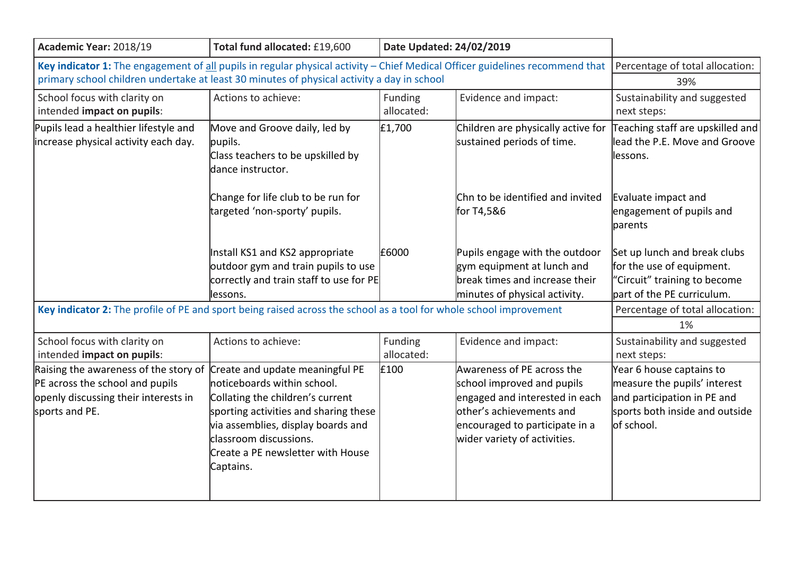| Academic Year: 2018/19                                                                                                                                                                                                                                       | Total fund allocated: £19,600                                                                                                                                                                                                                                 | Date Updated: 24/02/2019 |                                                                                                                                                                                          |                                                                                                                                         |
|--------------------------------------------------------------------------------------------------------------------------------------------------------------------------------------------------------------------------------------------------------------|---------------------------------------------------------------------------------------------------------------------------------------------------------------------------------------------------------------------------------------------------------------|--------------------------|------------------------------------------------------------------------------------------------------------------------------------------------------------------------------------------|-----------------------------------------------------------------------------------------------------------------------------------------|
| Key indicator 1: The engagement of all pupils in regular physical activity – Chief Medical Officer guidelines recommend that   Percentage of total allocation:<br>primary school children undertake at least 30 minutes of physical activity a day in school | 39%                                                                                                                                                                                                                                                           |                          |                                                                                                                                                                                          |                                                                                                                                         |
| School focus with clarity on<br>intended impact on pupils:                                                                                                                                                                                                   | Actions to achieve:                                                                                                                                                                                                                                           | Funding<br>allocated:    | Evidence and impact:                                                                                                                                                                     | Sustainability and suggested<br>next steps:                                                                                             |
| Pupils lead a healthier lifestyle and<br>increase physical activity each day.                                                                                                                                                                                | Move and Groove daily, led by<br>pupils.<br>Class teachers to be upskilled by<br>dance instructor.                                                                                                                                                            | £1,700                   | Children are physically active for<br>sustained periods of time.                                                                                                                         | Teaching staff are upskilled and<br>lead the P.E. Move and Groove<br>lessons.                                                           |
|                                                                                                                                                                                                                                                              | Change for life club to be run for<br>targeted 'non-sporty' pupils.                                                                                                                                                                                           |                          | Chn to be identified and invited<br>for T4,5&6                                                                                                                                           | Evaluate impact and<br>engagement of pupils and<br>parents                                                                              |
|                                                                                                                                                                                                                                                              | Install KS1 and KS2 appropriate<br>outdoor gym and train pupils to use<br>correctly and train staff to use for PE<br>lessons.                                                                                                                                 | £6000                    | Pupils engage with the outdoor<br>gym equipment at lunch and<br>break times and increase their<br>minutes of physical activity.                                                          | Set up lunch and break clubs<br>for the use of equipment.<br>"Circuit" training to become<br>part of the PE curriculum.                 |
| Key indicator 2: The profile of PE and sport being raised across the school as a tool for whole school improvement                                                                                                                                           | Percentage of total allocation:<br>1%                                                                                                                                                                                                                         |                          |                                                                                                                                                                                          |                                                                                                                                         |
| School focus with clarity on<br>intended impact on pupils:                                                                                                                                                                                                   | Actions to achieve:                                                                                                                                                                                                                                           | Funding<br>allocated:    | Evidence and impact:                                                                                                                                                                     | Sustainability and suggested<br>next steps:                                                                                             |
| Raising the awareness of the story of<br>PE across the school and pupils<br>openly discussing their interests in<br>sports and PE.                                                                                                                           | Create and update meaningful PE<br>noticeboards within school.<br>Collating the children's current<br>sporting activities and sharing these<br>via assemblies, display boards and<br>classroom discussions.<br>Create a PE newsletter with House<br>Captains. | £100                     | Awareness of PE across the<br>school improved and pupils<br>engaged and interested in each<br>other's achievements and<br>encouraged to participate in a<br>wider variety of activities. | Year 6 house captains to<br>measure the pupils' interest<br>and participation in PE and<br>sports both inside and outside<br>of school. |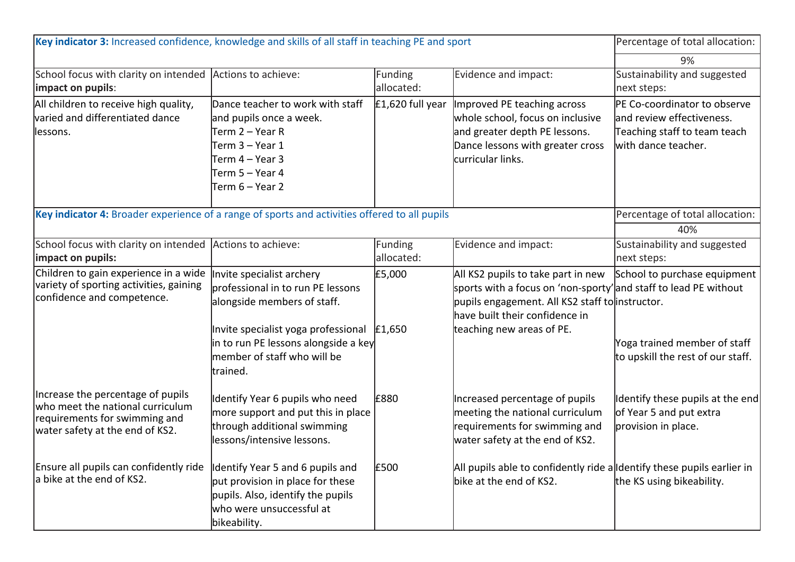| Key indicator 3: Increased confidence, knowledge and skills of all staff in teaching PE and sport                                         |                                                                                                                                                              |                       |                                                                                                                                                                                            | Percentage of total allocation:                                                                                  |
|-------------------------------------------------------------------------------------------------------------------------------------------|--------------------------------------------------------------------------------------------------------------------------------------------------------------|-----------------------|--------------------------------------------------------------------------------------------------------------------------------------------------------------------------------------------|------------------------------------------------------------------------------------------------------------------|
|                                                                                                                                           |                                                                                                                                                              |                       |                                                                                                                                                                                            | 9%                                                                                                               |
| School focus with clarity on intended Actions to achieve:<br>impact on pupils:                                                            |                                                                                                                                                              | Funding<br>allocated: | Evidence and impact:                                                                                                                                                                       | Sustainability and suggested<br>next steps:                                                                      |
| All children to receive high quality,<br>varied and differentiated dance<br>lessons.                                                      | Dance teacher to work with staff<br>and pupils once a week.<br> Term 2 – Year R<br>Term 3 – Year 1<br>lTerm 4 – Year 3<br>Term 5 – Year 4<br>Term 6 – Year 2 | $E1,620$ full year    | Improved PE teaching across<br>whole school, focus on inclusive<br>and greater depth PE lessons.<br>Dance lessons with greater cross<br>lcurricular links.                                 | PE Co-coordinator to observe<br>and review effectiveness.<br>Teaching staff to team teach<br>with dance teacher. |
| Key indicator 4: Broader experience of a range of sports and activities offered to all pupils                                             | Percentage of total allocation:                                                                                                                              |                       |                                                                                                                                                                                            |                                                                                                                  |
|                                                                                                                                           |                                                                                                                                                              |                       |                                                                                                                                                                                            | 40%                                                                                                              |
| School focus with clarity on intended Actions to achieve:<br>impact on pupils:                                                            |                                                                                                                                                              | Funding<br>allocated: | Evidence and impact:                                                                                                                                                                       | Sustainability and suggested<br>next steps:                                                                      |
| Children to gain experience in a wide<br>variety of sporting activities, gaining<br>confidence and competence.                            | Invite specialist archery<br>professional in to run PE lessons<br>alongside members of staff.                                                                | £5,000                | All KS2 pupils to take part in new<br>sports with a focus on 'non-sporty'and staff to lead PE without<br>pupils engagement. All KS2 staff to instructor.<br>have built their confidence in | School to purchase equipment                                                                                     |
|                                                                                                                                           | Invite specialist yoga professional<br>in to run PE lessons alongside a key<br>member of staff who will be<br>ltrained.                                      | £1,650                | teaching new areas of PE.                                                                                                                                                                  | Yoga trained member of staff<br>to upskill the rest of our staff.                                                |
| Increase the percentage of pupils<br>who meet the national curriculum<br>requirements for swimming and<br>water safety at the end of KS2. | Identify Year 6 pupils who need<br>more support and put this in place<br>through additional swimming<br>lessons/intensive lessons.                           | £880                  | Increased percentage of pupils<br>meeting the national curriculum<br>requirements for swimming and<br>water safety at the end of KS2.                                                      | Identify these pupils at the end<br>of Year 5 and put extra<br>provision in place.                               |
| Ensure all pupils can confidently ride<br>la bike at the end of KS2.                                                                      | Identify Year 5 and 6 pupils and<br>put provision in place for these<br>pupils. Also, identify the pupils<br>who were unsuccessful at<br>bikeability.        | £500                  | All pupils able to confidently ride alldentify these pupils earlier in<br>bike at the end of KS2.                                                                                          | the KS using bikeability.                                                                                        |